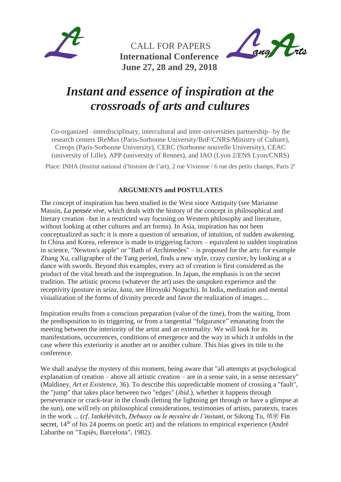

 CALL FOR PAPERS  **International Conference June 27, 28 and 29, 2018**



# *Instant and essence of inspiration at the crossroads of arts and cultures*

Co-organized –interdisciplinary, intercultural and inter-universities partnership– by the research centers IReMus (Paris-Sorbonne University/BnF/CNRS/Ministry of Culture), Creops (Paris-Sorbonne University), CERC (Sorbonne nouvelle University), CEAC (university of Lille), APP (university of Rennes), and IAO (Lyon 2/ENS Lyon/CNRS)

Place: INHA (Institut national d'histoire de l'art), 2 rue Vivienne / 6 rue des petits champs, Paris 2<sup>e</sup>

### **ARGUMENTS and POSTULATES**

The concept of inspiration has been studied in the West since Antiquity (see Marianne Massin, *La pensée vive*, which deals with the history of the concept in philosophical and literary creation –but in a restricted way focusing on Western philosophy and literature, without looking at other cultures and art forms). In Asia, inspiration has not been conceptualized as such: it is more a question of sensation, of intuition, of sudden awakening. In China and Korea, reference is made to triggering factors – equivalent to sudden inspiration in science, "Newton's apple" or "Bath of Archimedes" – is proposed for the arts: for example Zhang Xu, calligrapher of the Tang period, finds a new style, crazy cursive, by looking at a dance with swords. Beyond this examples, every act of creation is first considered as the product of the vital breath and the impregnation. In Japan, the emphasis is on the secret tradition. The artistic process (whatever the art) uses the unspoken experience and the receptivity (posture in *seiza*, *kata*, see Hiroyuki Noguchi). In India, meditation and mental visualization of the forms of divinity precede and favor the realization of images ...

Inspiration results from a conscious preparation (value of the time), from the waiting, from the predisposition to its triggering, or from a tangential "fulgurance" emanating from the meeting between the interiority of the artist and an externality. We will look for its manifestations, occurrences, conditions of emergence and the way in which it unfolds in the case where this exteriority is another art or another culture. This bias gives its title to the conference.

We shall analyse the mystery of this moment, being aware that "all attempts at psychological explanation of creation  $-$  above all artistic creation  $-$  are in a sense vain, in a sense necessary" (Maldiney, *Art et Existence*, 36). To describe this unpredictable moment of crossing a "fault", the "jump" that takes place between two "edges" (*ibid*.), whether it happens through perseverance or crack-tear in the clouds (letting the lightning get through or have a glimpse at the sun), one will rely on philosophical considerations, testimonies of artists, paratexts, traces in the work ... (*cf*. Jankélévitch, *Debussy ou le mystère de l'instant*, or Sikong Tu, 缜密 Fin secret.  $14<sup>th</sup>$  of his 24 poems on poetic art) and the relations to empirical experience (André Labarthe on "Tapiès, Barcelona", 1982).